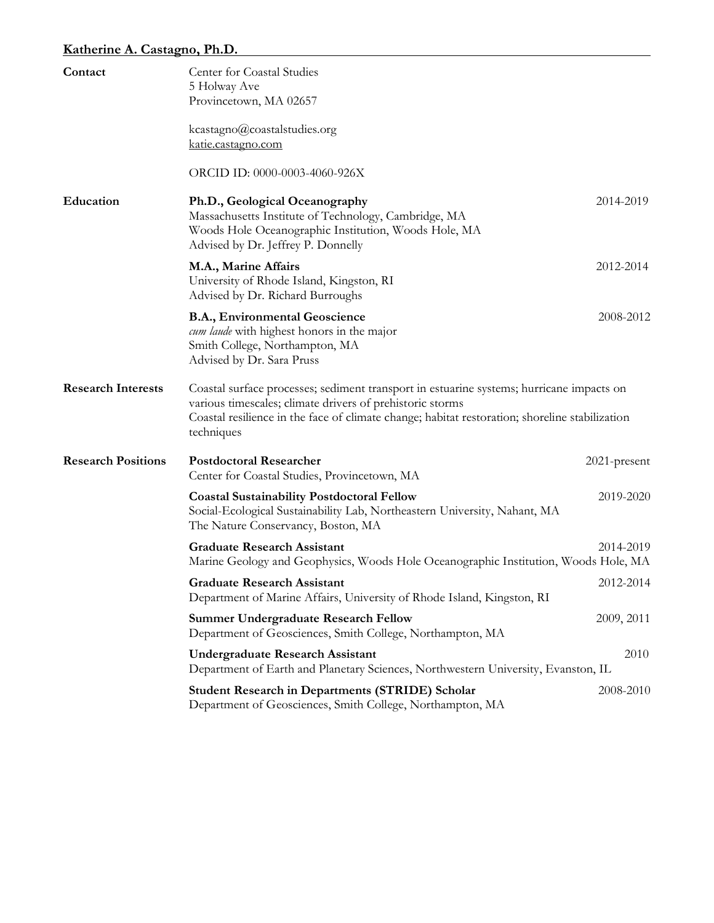## **Katherine A. Castagno, Ph.D.**

| Contact                   | Center for Coastal Studies<br>5 Holway Ave<br>Provincetown, MA 02657                                                                                                                                                                                                  |              |
|---------------------------|-----------------------------------------------------------------------------------------------------------------------------------------------------------------------------------------------------------------------------------------------------------------------|--------------|
|                           | kcastagno@coastalstudies.org<br>katie.castagno.com                                                                                                                                                                                                                    |              |
|                           | ORCID ID: 0000-0003-4060-926X                                                                                                                                                                                                                                         |              |
| Education                 | Ph.D., Geological Oceanography<br>Massachusetts Institute of Technology, Cambridge, MA<br>Woods Hole Oceanographic Institution, Woods Hole, MA<br>Advised by Dr. Jeffrey P. Donnelly                                                                                  | 2014-2019    |
|                           | M.A., Marine Affairs<br>University of Rhode Island, Kingston, RI<br>Advised by Dr. Richard Burroughs                                                                                                                                                                  | 2012-2014    |
|                           | <b>B.A., Environmental Geoscience</b><br>cum laude with highest honors in the major<br>Smith College, Northampton, MA<br>Advised by Dr. Sara Pruss                                                                                                                    | 2008-2012    |
| <b>Research Interests</b> | Coastal surface processes; sediment transport in estuarine systems; hurricane impacts on<br>various timescales; climate drivers of prehistoric storms<br>Coastal resilience in the face of climate change; habitat restoration; shoreline stabilization<br>techniques |              |
| <b>Research Positions</b> | <b>Postdoctoral Researcher</b><br>Center for Coastal Studies, Provincetown, MA                                                                                                                                                                                        | 2021-present |
|                           | <b>Coastal Sustainability Postdoctoral Fellow</b><br>Social-Ecological Sustainability Lab, Northeastern University, Nahant, MA<br>The Nature Conservancy, Boston, MA                                                                                                  | 2019-2020    |
|                           | <b>Graduate Research Assistant</b><br>Marine Geology and Geophysics, Woods Hole Oceanographic Institution, Woods Hole, MA                                                                                                                                             | 2014-2019    |
|                           | <b>Graduate Research Assistant</b><br>Department of Marine Affairs, University of Rhode Island, Kingston, RI                                                                                                                                                          | 2012-2014    |
|                           | <b>Summer Undergraduate Research Fellow</b><br>Department of Geosciences, Smith College, Northampton, MA                                                                                                                                                              | 2009, 2011   |
|                           | <b>Undergraduate Research Assistant</b><br>Department of Earth and Planetary Sciences, Northwestern University, Evanston, IL                                                                                                                                          | 2010         |
|                           | <b>Student Research in Departments (STRIDE) Scholar</b><br>Department of Geosciences, Smith College, Northampton, MA                                                                                                                                                  | 2008-2010    |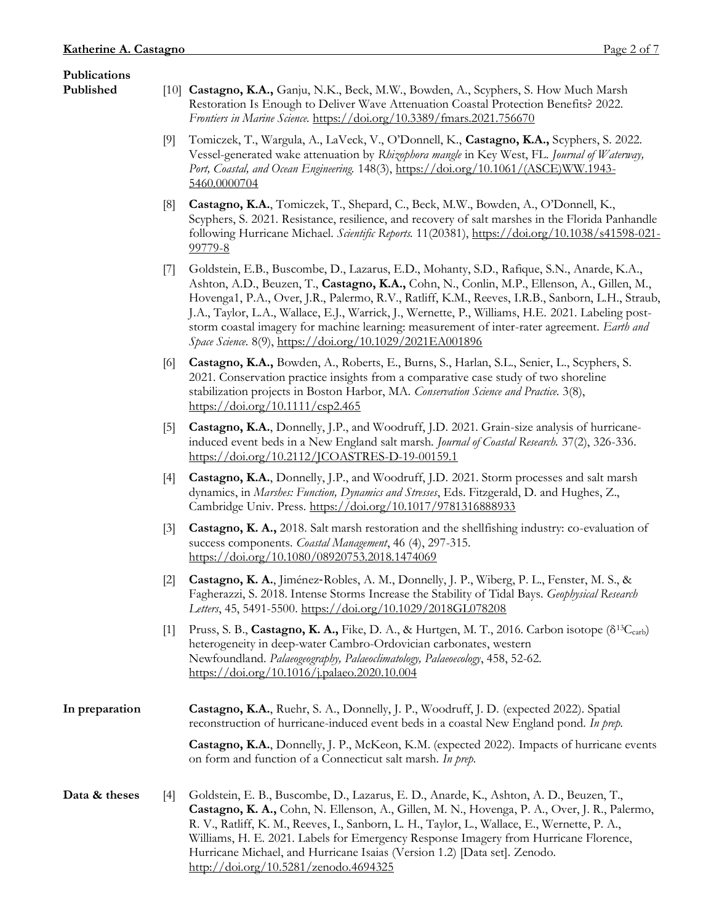## **Publications**

- 
- **Published** [10] **Castagno, K.A.,** Ganju, N.K., Beck, M.W., Bowden, A., Scyphers, S. How Much Marsh Restoration Is Enough to Deliver Wave Attenuation Coastal Protection Benefits? 2022. *Frontiers in Marine Science.* <https://doi.org/10.3389/fmars.2021.756670>
	- [9] Tomiczek, T., Wargula, A., LaVeck, V., O'Donnell, K., **Castagno, K.A.,** Scyphers, S. 2022. Vessel-generated wake attenuation by *Rhizophora mangle* in Key West, FL. *Journal of Waterway, Port, Coastal, and Ocean Engineering.* 148(3), [https://doi.org/10.1061/\(ASCE\)WW.1943-](https://doi.org/10.1061/(ASCE)WW.1943-5460.0000704) [5460.0000704](https://doi.org/10.1061/(ASCE)WW.1943-5460.0000704)
	- [8] **Castagno, K.A.**, Tomiczek, T., Shepard, C., Beck, M.W., Bowden, A., O'Donnell, K., Scyphers, S. 2021. Resistance, resilience, and recovery of salt marshes in the Florida Panhandle following Hurricane Michael. *Scientific Reports.* 11(20381), [https://doi.org/10.1038/s41598-021-](https://doi.org/10.1038/s41598-021-99779-8) [99779-8](https://doi.org/10.1038/s41598-021-99779-8)
	- [7] Goldstein, E.B., Buscombe, D., Lazarus, E.D., Mohanty, S.D., Rafique, S.N., Anarde, K.A., Ashton, A.D., Beuzen, T., **Castagno, K.A.,** Cohn, N., Conlin, M.P., Ellenson, A., Gillen, M., Hovenga1, P.A., Over, J.R., Palermo, R.V., Ratliff, K.M., Reeves, I.R.B., Sanborn, L.H., Straub, J.A., Taylor, L.A., Wallace, E.J., Warrick, J., Wernette, P., Williams, H.E. 2021. Labeling poststorm coastal imagery for machine learning: measurement of inter-rater agreement. *Earth and Space Science.* 8(9),<https://doi.org/10.1029/2021EA001896>
	- [6] **Castagno, K.A.,** Bowden, A., Roberts, E., Burns, S., Harlan, S.L., Senier, L., Scyphers, S. 2021. Conservation practice insights from a comparative case study of two shoreline stabilization projects in Boston Harbor, MA. *Conservation Science and Practice.* 3(8), <https://doi.org/10.1111/csp2.465>
	- [5] **Castagno, K.A.**, Donnelly, J.P., and Woodruff, J.D. 2021. Grain-size analysis of hurricaneinduced event beds in a New England salt marsh. *Journal of Coastal Research.* 37(2), 326-336. <https://doi.org/10.2112/JCOASTRES-D-19-00159.1>
	- [4] **Castagno, K.A.**, Donnelly, J.P., and Woodruff, J.D. 2021. Storm processes and salt marsh dynamics, in *Marshes: Function, Dynamics and Stresses*, Eds. Fitzgerald, D. and Hughes, Z., Cambridge Univ. Press.<https://doi.org/10.1017/9781316888933>
	- [3] **Castagno, K. A.,** 2018. Salt marsh restoration and the shellfishing industry: co-evaluation of success components. *Coastal Management*, 46 (4), 297-315. <https://doi.org/10.1080/08920753.2018.1474069>
	- [2] **Castagno, K. A.**, Jiménez‐Robles, A. M., Donnelly, J. P., Wiberg, P. L., Fenster, M. S., & Fagherazzi, S. 2018. Intense Storms Increase the Stability of Tidal Bays. *Geophysical Research Letters*, 45, 5491-5500. <https://doi.org/10.1029/2018GL078208>
	- [1] Pruss, S. B., **Castagno, K. A.,** Fike, D. A., & Hurtgen, M. T., 2016. Carbon isotope (δ13Ccarb) heterogeneity in deep-water Cambro-Ordovician carbonates, western Newfoundland. *Palaeogeography, Palaeoclimatology, Palaeoecology*, 458, 52-62. <https://doi.org/10.1016/j.palaeo.2020.10.004>

**In preparation Castagno, K.A.**, Ruehr, S. A., Donnelly, J. P., Woodruff, J. D. (expected 2022). Spatial reconstruction of hurricane-induced event beds in a coastal New England pond. *In prep.*

**Castagno, K.A.**, Donnelly, J. P., McKeon, K.M. (expected 2022). Impacts of hurricane events on form and function of a Connecticut salt marsh. *In prep.*

**Data & theses** [4] Goldstein, E. B., Buscombe, D., Lazarus, E. D., Anarde, K., Ashton, A. D., Beuzen, T., **Castagno, K. A.,** Cohn, N. Ellenson, A., Gillen, M. N., Hovenga, P. A., Over, J. R., Palermo, R. V., Ratliff, K. M., Reeves, I., Sanborn, L. H., Taylor, L., Wallace, E., Wernette, P. A., Williams, H. E. 2021. Labels for Emergency Response Imagery from Hurricane Florence, Hurricane Michael, and Hurricane Isaias (Version 1.2) [Data set]. Zenodo. <http://doi.org/10.5281/zenodo.4694325>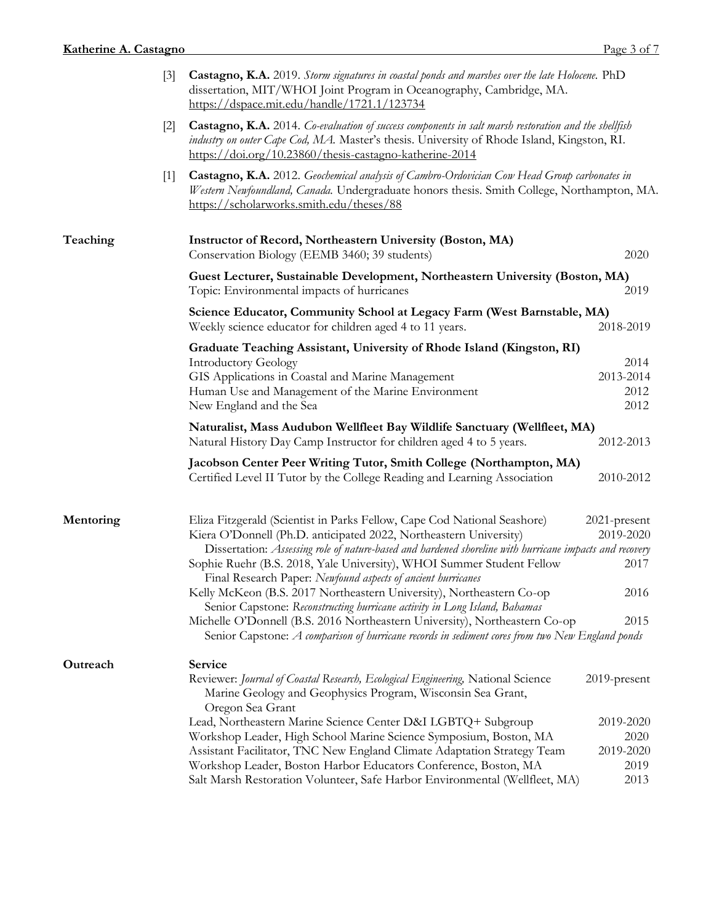## **Katherine A. Castagno** Page 3 of 7

|           | $\lceil 3 \rceil$ | Castagno, K.A. 2019. Storm signatures in coastal ponds and marshes over the late Holocene. PhD<br>dissertation, MIT/WHOI Joint Program in Oceanography, Cambridge, MA.<br>https://dspace.mit.edu/handle/1721.1/123734                                                                                                                                                                               |                                                |
|-----------|-------------------|-----------------------------------------------------------------------------------------------------------------------------------------------------------------------------------------------------------------------------------------------------------------------------------------------------------------------------------------------------------------------------------------------------|------------------------------------------------|
|           | $[2]$             | Castagno, K.A. 2014. Co-evaluation of success components in salt marsh restoration and the shellfish<br>industry on outer Cape Cod, MA. Master's thesis. University of Rhode Island, Kingston, RI.<br>https://doi.org/10.23860/thesis-castagno-katherine-2014                                                                                                                                       |                                                |
|           | $[1]$             | Castagno, K.A. 2012. Geochemical analysis of Cambro-Ordovician Cow Head Group carbonates in<br>Western Newfoundland, Canada. Undergraduate honors thesis. Smith College, Northampton, MA.<br>https://scholarworks.smith.edu/theses/88                                                                                                                                                               |                                                |
| Teaching  |                   | <b>Instructor of Record, Northeastern University (Boston, MA)</b><br>Conservation Biology (EEMB 3460; 39 students)                                                                                                                                                                                                                                                                                  | 2020                                           |
|           |                   | Guest Lecturer, Sustainable Development, Northeastern University (Boston, MA)<br>Topic: Environmental impacts of hurricanes                                                                                                                                                                                                                                                                         | 2019                                           |
|           |                   | Science Educator, Community School at Legacy Farm (West Barnstable, MA)<br>Weekly science educator for children aged 4 to 11 years.                                                                                                                                                                                                                                                                 | 2018-2019                                      |
|           |                   | Graduate Teaching Assistant, University of Rhode Island (Kingston, RI)<br><b>Introductory Geology</b><br>GIS Applications in Coastal and Marine Management<br>Human Use and Management of the Marine Environment<br>New England and the Sea                                                                                                                                                         | 2014<br>2013-2014<br>2012<br>2012              |
|           |                   | Naturalist, Mass Audubon Wellfleet Bay Wildlife Sanctuary (Wellfleet, MA)<br>Natural History Day Camp Instructor for children aged 4 to 5 years.                                                                                                                                                                                                                                                    | 2012-2013                                      |
|           |                   | Jacobson Center Peer Writing Tutor, Smith College (Northampton, MA)<br>Certified Level II Tutor by the College Reading and Learning Association                                                                                                                                                                                                                                                     | 2010-2012                                      |
| Mentoring |                   | Eliza Fitzgerald (Scientist in Parks Fellow, Cape Cod National Seashore)<br>Kiera O'Donnell (Ph.D. anticipated 2022, Northeastern University)<br>Dissertation: Assessing role of nature-based and hardened shoreline with hurricane impacts and recovery<br>Sophie Ruehr (B.S. 2018, Yale University), WHOI Summer Student Fellow                                                                   | 2021-present<br>2019-2020<br>2017              |
|           |                   | Final Research Paper: Newfound aspects of ancient hurricanes<br>Kelly McKeon (B.S. 2017 Northeastern University), Northeastern Co-op<br>Senior Capstone: Reconstructing hurricane activity in Long Island, Bahamas<br>Michelle O'Donnell (B.S. 2016 Northeastern University), Northeastern Co-op<br>Senior Capstone: A comparison of hurricane records in sediment cores from two New England ponds | 2016<br>2015                                   |
| Outreach  |                   | Service<br>Reviewer: Journal of Coastal Research, Ecological Engineering, National Science<br>Marine Geology and Geophysics Program, Wisconsin Sea Grant,<br>Oregon Sea Grant                                                                                                                                                                                                                       | 2019-present                                   |
|           |                   | Lead, Northeastern Marine Science Center D&I LGBTQ+ Subgroup<br>Workshop Leader, High School Marine Science Symposium, Boston, MA<br>Assistant Facilitator, TNC New England Climate Adaptation Strategy Team<br>Workshop Leader, Boston Harbor Educators Conference, Boston, MA<br>Salt Marsh Restoration Volunteer, Safe Harbor Environmental (Wellfleet, MA)                                      | 2019-2020<br>2020<br>2019-2020<br>2019<br>2013 |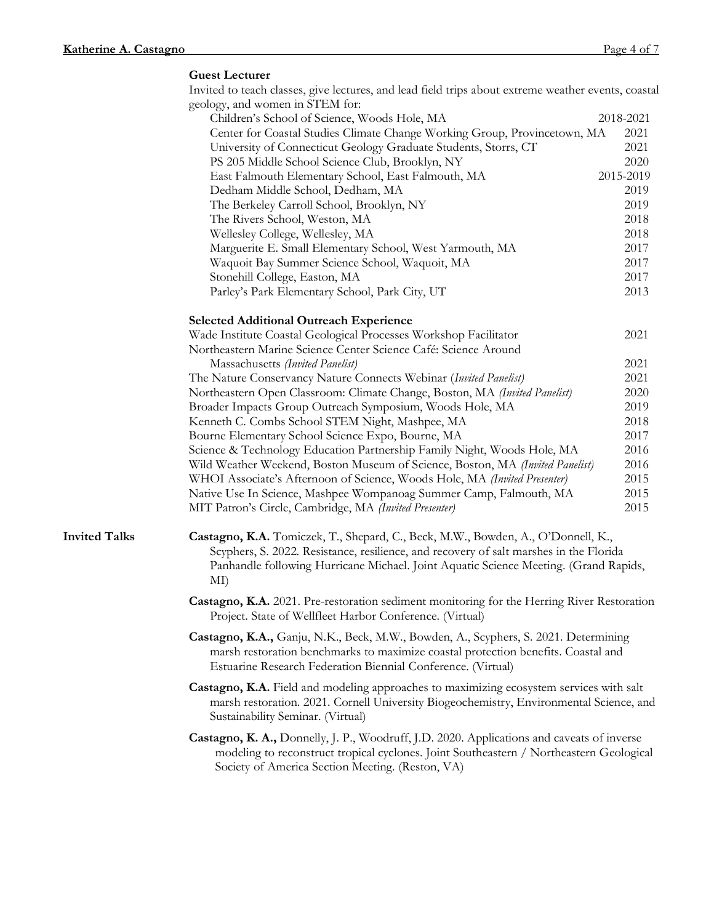## **Guest Lecturer**

|                      | Invited to teach classes, give lectures, and lead field trips about extreme weather events, coastal                                                                                                                                                                       |           |
|----------------------|---------------------------------------------------------------------------------------------------------------------------------------------------------------------------------------------------------------------------------------------------------------------------|-----------|
|                      | geology, and women in STEM for:                                                                                                                                                                                                                                           |           |
|                      | Children's School of Science, Woods Hole, MA                                                                                                                                                                                                                              | 2018-2021 |
|                      | Center for Coastal Studies Climate Change Working Group, Provincetown, MA                                                                                                                                                                                                 | 2021      |
|                      | University of Connecticut Geology Graduate Students, Storrs, CT                                                                                                                                                                                                           | 2021      |
|                      | PS 205 Middle School Science Club, Brooklyn, NY                                                                                                                                                                                                                           | 2020      |
|                      | East Falmouth Elementary School, East Falmouth, MA                                                                                                                                                                                                                        | 2015-2019 |
|                      | Dedham Middle School, Dedham, MA                                                                                                                                                                                                                                          | 2019      |
|                      | The Berkeley Carroll School, Brooklyn, NY                                                                                                                                                                                                                                 | 2019      |
|                      | The Rivers School, Weston, MA                                                                                                                                                                                                                                             | 2018      |
|                      | Wellesley College, Wellesley, MA                                                                                                                                                                                                                                          | 2018      |
|                      | Marguerite E. Small Elementary School, West Yarmouth, MA                                                                                                                                                                                                                  | 2017      |
|                      | Waquoit Bay Summer Science School, Waquoit, MA                                                                                                                                                                                                                            | 2017      |
|                      | Stonehill College, Easton, MA                                                                                                                                                                                                                                             | 2017      |
|                      | Parley's Park Elementary School, Park City, UT                                                                                                                                                                                                                            | 2013      |
|                      | <b>Selected Additional Outreach Experience</b>                                                                                                                                                                                                                            |           |
|                      | Wade Institute Coastal Geological Processes Workshop Facilitator                                                                                                                                                                                                          | 2021      |
|                      | Northeastern Marine Science Center Science Café: Science Around                                                                                                                                                                                                           |           |
|                      | Massachusetts (Invited Panelist)                                                                                                                                                                                                                                          | 2021      |
|                      | The Nature Conservancy Nature Connects Webinar (Invited Panelist)                                                                                                                                                                                                         | 2021      |
|                      | Northeastern Open Classroom: Climate Change, Boston, MA (Invited Panelist)                                                                                                                                                                                                | 2020      |
|                      | Broader Impacts Group Outreach Symposium, Woods Hole, MA                                                                                                                                                                                                                  | 2019      |
|                      | Kenneth C. Combs School STEM Night, Mashpee, MA                                                                                                                                                                                                                           | 2018      |
|                      | Bourne Elementary School Science Expo, Bourne, MA                                                                                                                                                                                                                         | 2017      |
|                      | Science & Technology Education Partnership Family Night, Woods Hole, MA                                                                                                                                                                                                   | 2016      |
|                      | Wild Weather Weekend, Boston Museum of Science, Boston, MA (Invited Panelist)                                                                                                                                                                                             | 2016      |
|                      | WHOI Associate's Afternoon of Science, Woods Hole, MA (Invited Presenter)                                                                                                                                                                                                 | 2015      |
|                      | Native Use In Science, Mashpee Wompanoag Summer Camp, Falmouth, MA                                                                                                                                                                                                        | 2015      |
|                      | MIT Patron's Circle, Cambridge, MA (Invited Presenter)                                                                                                                                                                                                                    | 2015      |
| <b>Invited Talks</b> | Castagno, K.A. Tomiczek, T., Shepard, C., Beck, M.W., Bowden, A., O'Donnell, K.,<br>Scyphers, S. 2022. Resistance, resilience, and recovery of salt marshes in the Florida<br>Panhandle following Hurricane Michael. Joint Aquatic Science Meeting. (Grand Rapids,<br>MI) |           |
|                      | Castagno, K.A. 2021. Pre-restoration sediment monitoring for the Herring River Restoration<br>Project. State of Wellfleet Harbor Conference. (Virtual)                                                                                                                    |           |
|                      | Castagno, K.A., Ganju, N.K., Beck, M.W., Bowden, A., Scyphers, S. 2021. Determining<br>marsh restoration benchmarks to maximize coastal protection benefits. Coastal and<br>Estuarine Research Federation Biennial Conference. (Virtual)                                  |           |
|                      | Castagno, K.A. Field and modeling approaches to maximizing ecosystem services with salt<br>marsh restoration. 2021. Cornell University Biogeochemistry, Environmental Science, and<br>Sustainability Seminar. (Virtual)                                                   |           |
|                      | Castagno, K. A., Donnelly, J. P., Woodruff, J.D. 2020. Applications and caveats of inverse<br>modeling to reconstruct tropical cyclones. Joint Southeastern / Northeastern Geological<br>Society of America Section Meeting. (Reston, VA)                                 |           |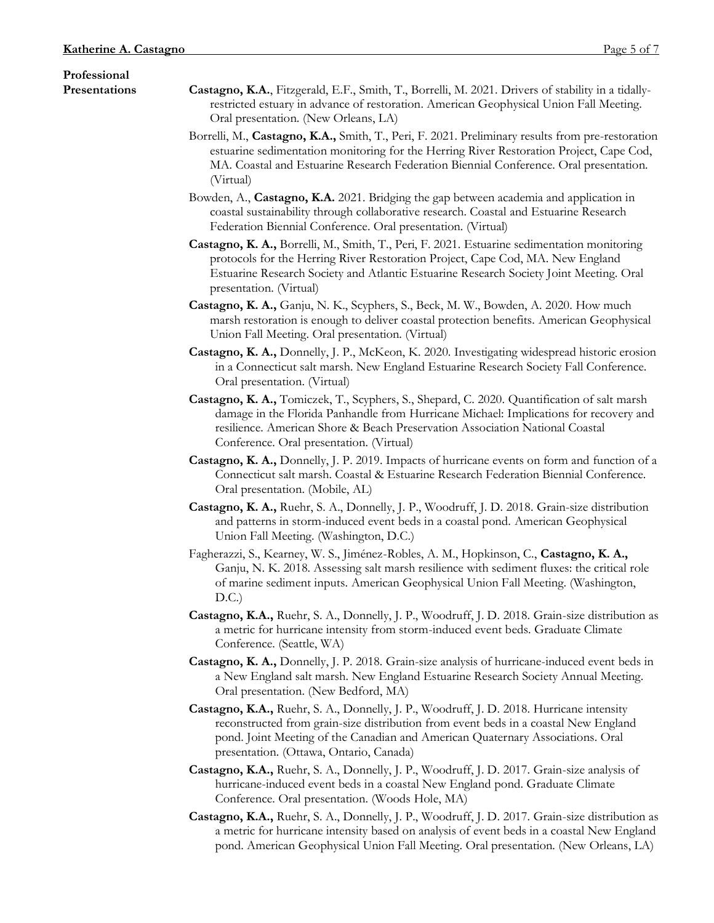| Katherine A. Castagno | Page 5 of 7                                                                                                                                                                                                                                                                                                      |
|-----------------------|------------------------------------------------------------------------------------------------------------------------------------------------------------------------------------------------------------------------------------------------------------------------------------------------------------------|
| Professional          |                                                                                                                                                                                                                                                                                                                  |
| Presentations         | Castagno, K.A., Fitzgerald, E.F., Smith, T., Borrelli, M. 2021. Drivers of stability in a tidally-<br>restricted estuary in advance of restoration. American Geophysical Union Fall Meeting.<br>Oral presentation. (New Orleans, LA)                                                                             |
|                       | Borrelli, M., Castagno, K.A., Smith, T., Peri, F. 2021. Preliminary results from pre-restoration<br>estuarine sedimentation monitoring for the Herring River Restoration Project, Cape Cod,<br>MA. Coastal and Estuarine Research Federation Biennial Conference. Oral presentation.<br>(Virtual)                |
|                       | Bowden, A., Castagno, K.A. 2021. Bridging the gap between academia and application in<br>coastal sustainability through collaborative research. Coastal and Estuarine Research<br>Federation Biennial Conference. Oral presentation. (Virtual)                                                                   |
|                       | Castagno, K. A., Borrelli, M., Smith, T., Peri, F. 2021. Estuarine sedimentation monitoring<br>protocols for the Herring River Restoration Project, Cape Cod, MA. New England<br>Estuarine Research Society and Atlantic Estuarine Research Society Joint Meeting. Oral<br>presentation. (Virtual)               |
|                       | Castagno, K. A., Ganju, N. K., Scyphers, S., Beck, M. W., Bowden, A. 2020. How much<br>marsh restoration is enough to deliver coastal protection benefits. American Geophysical<br>Union Fall Meeting. Oral presentation. (Virtual)                                                                              |
|                       | Castagno, K. A., Donnelly, J. P., McKeon, K. 2020. Investigating widespread historic erosion<br>in a Connecticut salt marsh. New England Estuarine Research Society Fall Conference.<br>Oral presentation. (Virtual)                                                                                             |
|                       | Castagno, K. A., Tomiczek, T., Scyphers, S., Shepard, C. 2020. Quantification of salt marsh<br>damage in the Florida Panhandle from Hurricane Michael: Implications for recovery and<br>resilience. American Shore & Beach Preservation Association National Coastal<br>Conference. Oral presentation. (Virtual) |
|                       | Castagno, K. A., Donnelly, J. P. 2019. Impacts of hurricane events on form and function of a<br>Connecticut salt marsh. Coastal & Estuarine Research Federation Biennial Conference.<br>Oral presentation. (Mobile, AL)                                                                                          |
|                       | Castagno, K. A., Ruehr, S. A., Donnelly, J. P., Woodruff, J. D. 2018. Grain-size distribution<br>and patterns in storm-induced event beds in a coastal pond. American Geophysical<br>Union Fall Meeting. (Washington, D.C.)                                                                                      |
|                       | Fagherazzi, S., Kearney, W. S., Jiménez-Robles, A. M., Hopkinson, C., Castagno, K. A.,<br>Ganju, N. K. 2018. Assessing salt marsh resilience with sediment fluxes: the critical role<br>of marine sediment inputs. American Geophysical Union Fall Meeting. (Washington,<br>D.C.)                                |
|                       | Castagno, K.A., Ruehr, S. A., Donnelly, J. P., Woodruff, J. D. 2018. Grain-size distribution as<br>a metric for hurricane intensity from storm-induced event beds. Graduate Climate<br>Conference. (Seattle, WA)                                                                                                 |
|                       | Castagno, K. A., Donnelly, J. P. 2018. Grain-size analysis of hurricane-induced event beds in<br>a New England salt marsh. New England Estuarine Research Society Annual Meeting.<br>Oral presentation. (New Bedford, MA)                                                                                        |
|                       | Castagno, K.A., Ruehr, S. A., Donnelly, J. P., Woodruff, J. D. 2018. Hurricane intensity<br>reconstructed from grain-size distribution from event beds in a coastal New England<br>pond. Joint Meeting of the Canadian and American Quaternary Associations. Oral<br>presentation. (Ottawa, Ontario, Canada)     |
|                       | Castagno, K.A., Ruehr, S. A., Donnelly, J. P., Woodruff, J. D. 2017. Grain-size analysis of<br>hurricane-induced event beds in a coastal New England pond. Graduate Climate<br>Conference. Oral presentation. (Woods Hole, MA)                                                                                   |
|                       | Castagno, K.A., Ruehr, S. A., Donnelly, J. P., Woodruff, J. D. 2017. Grain-size distribution as<br>a metric for hurricane intensity based on analysis of event beds in a coastal New England<br>pond. American Geophysical Union Fall Meeting. Oral presentation. (New Orleans, LA)                              |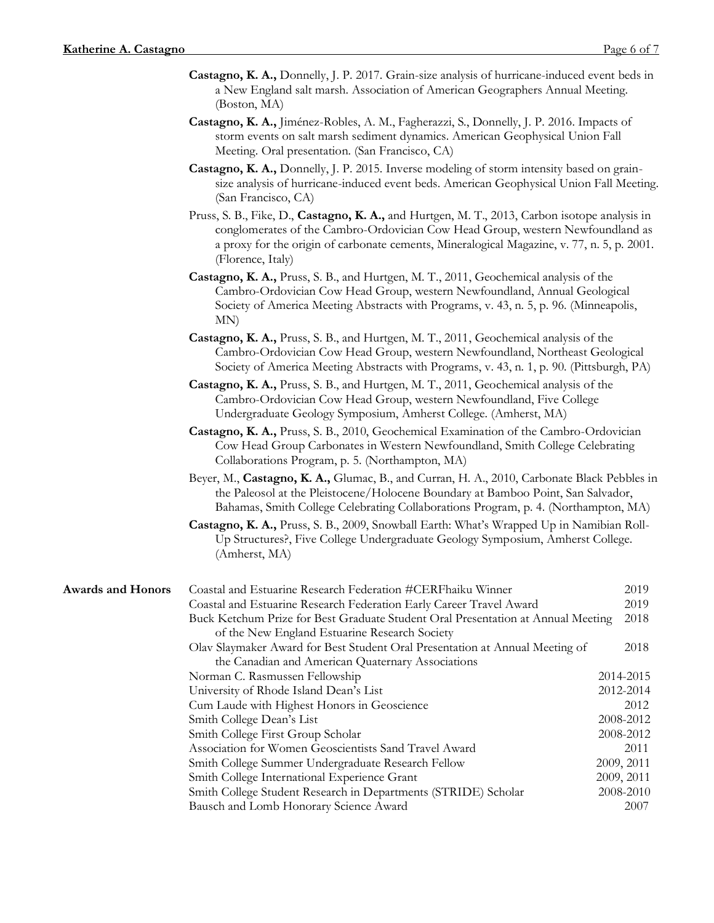- **Castagno, K. A.,** Donnelly, J. P. 2017. Grain-size analysis of hurricane-induced event beds in a New England salt marsh. Association of American Geographers Annual Meeting. (Boston, MA)
- **Castagno, K. A.,** Jiménez-Robles, A. M., Fagherazzi, S., Donnelly, J. P. 2016. Impacts of storm events on salt marsh sediment dynamics. American Geophysical Union Fall Meeting. Oral presentation. (San Francisco, CA)
- **Castagno, K. A.,** Donnelly, J. P. 2015. Inverse modeling of storm intensity based on grainsize analysis of hurricane-induced event beds. American Geophysical Union Fall Meeting. (San Francisco, CA)
- Pruss, S. B., Fike, D., **Castagno, K. A.,** and Hurtgen, M. T., 2013, Carbon isotope analysis in conglomerates of the Cambro-Ordovician Cow Head Group, western Newfoundland as a proxy for the origin of carbonate cements, Mineralogical Magazine, v. 77, n. 5, p. 2001. (Florence, Italy)
- **Castagno, K. A.,** Pruss, S. B., and Hurtgen, M. T., 2011, Geochemical analysis of the Cambro-Ordovician Cow Head Group, western Newfoundland, Annual Geological Society of America Meeting Abstracts with Programs, v. 43, n. 5, p. 96. (Minneapolis, MN)
- **Castagno, K. A.,** Pruss, S. B., and Hurtgen, M. T., 2011, Geochemical analysis of the Cambro-Ordovician Cow Head Group, western Newfoundland, Northeast Geological Society of America Meeting Abstracts with Programs, v. 43, n. 1, p. 90. (Pittsburgh, PA)
- **Castagno, K. A.,** Pruss, S. B., and Hurtgen, M. T., 2011, Geochemical analysis of the Cambro-Ordovician Cow Head Group, western Newfoundland, Five College Undergraduate Geology Symposium, Amherst College. (Amherst, MA)
- **Castagno, K. A.,** Pruss, S. B., 2010, Geochemical Examination of the Cambro-Ordovician Cow Head Group Carbonates in Western Newfoundland, Smith College Celebrating Collaborations Program, p. 5. (Northampton, MA)
- Beyer, M., **Castagno, K. A.,** Glumac, B., and Curran, H. A., 2010, Carbonate Black Pebbles in the Paleosol at the Pleistocene/Holocene Boundary at Bamboo Point, San Salvador, Bahamas, Smith College Celebrating Collaborations Program, p. 4. (Northampton, MA)
- **Castagno, K. A.,** Pruss, S. B., 2009, Snowball Earth: What's Wrapped Up in Namibian Roll-Up Structures?, Five College Undergraduate Geology Symposium, Amherst College. (Amherst, MA)

| <b>Awards and Honors</b><br>Coastal and Estuarine Research Federation #CERFhaiku Winner | 2019       |
|-----------------------------------------------------------------------------------------|------------|
| Coastal and Estuarine Research Federation Early Career Travel Award                     | 2019       |
| Buck Ketchum Prize for Best Graduate Student Oral Presentation at Annual Meeting        | 2018       |
| of the New England Estuarine Research Society                                           |            |
| Olav Slaymaker Award for Best Student Oral Presentation at Annual Meeting of            | 2018       |
| the Canadian and American Quaternary Associations                                       |            |
| Norman C. Rasmussen Fellowship                                                          | 2014-2015  |
| University of Rhode Island Dean's List                                                  | 2012-2014  |
| Cum Laude with Highest Honors in Geoscience                                             | 2012       |
| Smith College Dean's List                                                               | 2008-2012  |
| Smith College First Group Scholar                                                       | 2008-2012  |
| Association for Women Geoscientists Sand Travel Award                                   | 2011       |
| Smith College Summer Undergraduate Research Fellow                                      | 2009, 2011 |
| Smith College International Experience Grant                                            | 2009, 2011 |
| Smith College Student Research in Departments (STRIDE) Scholar                          | 2008-2010  |
| Bausch and Lomb Honorary Science Award                                                  | 2007       |